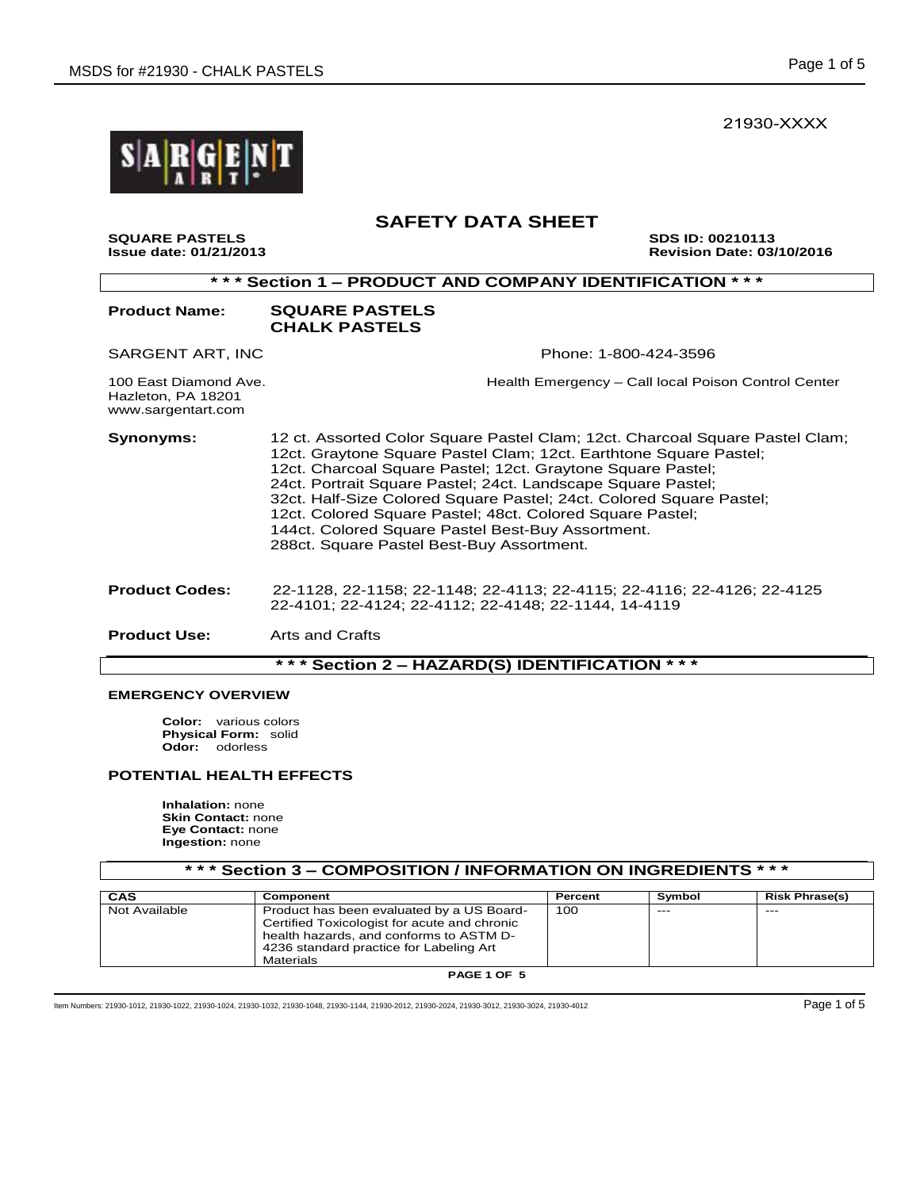21930-XXXX



# **SAFETY DATA SHEET**

**SQUARE PASTELS SDS ID: 00210113 Issue date: 01/21/2013 Revision Date: 03/10/2016** 

| *** Section 1 - PRODUCT AND COMPANY IDENTIFICATION ***            |                                                                                                                                                                                                                                                                                                                                                                                                                                                                                                                        |  |  |  |
|-------------------------------------------------------------------|------------------------------------------------------------------------------------------------------------------------------------------------------------------------------------------------------------------------------------------------------------------------------------------------------------------------------------------------------------------------------------------------------------------------------------------------------------------------------------------------------------------------|--|--|--|
| <b>Product Name:</b>                                              | <b>SQUARE PASTELS</b><br><b>CHALK PASTELS</b>                                                                                                                                                                                                                                                                                                                                                                                                                                                                          |  |  |  |
| SARGENT ART, INC                                                  | Phone: 1-800-424-3596                                                                                                                                                                                                                                                                                                                                                                                                                                                                                                  |  |  |  |
| 100 East Diamond Ave.<br>Hazleton, PA 18201<br>www.sargentart.com | Health Emergency – Call local Poison Control Center                                                                                                                                                                                                                                                                                                                                                                                                                                                                    |  |  |  |
| Synonyms:                                                         | 12 ct. Assorted Color Square Pastel Clam; 12ct. Charcoal Square Pastel Clam;<br>12ct. Graytone Square Pastel Clam; 12ct. Earthtone Square Pastel;<br>12ct. Charcoal Square Pastel; 12ct. Graytone Square Pastel;<br>24ct. Portrait Square Pastel; 24ct. Landscape Square Pastel;<br>32ct. Half-Size Colored Square Pastel; 24ct. Colored Square Pastel;<br>12ct. Colored Square Pastel; 48ct. Colored Square Pastel;<br>144ct. Colored Square Pastel Best-Buy Assortment.<br>288ct. Square Pastel Best-Buy Assortment. |  |  |  |
| <b>Product Codes:</b>                                             | 22-1128, 22-1158; 22-1148; 22-4113; 22-4115; 22-4116; 22-4126; 22-4125<br>22-4101; 22-4124; 22-4112; 22-4148; 22-1144, 14-4119                                                                                                                                                                                                                                                                                                                                                                                         |  |  |  |
| <b>Product Use:</b>                                               | Arts and Crafts                                                                                                                                                                                                                                                                                                                                                                                                                                                                                                        |  |  |  |
| *** Section 2 - HAZARD(S) IDENTIFICATION<br>* * *                 |                                                                                                                                                                                                                                                                                                                                                                                                                                                                                                                        |  |  |  |

# **EMERGENCY OVERVIEW**

**Color:** various colors **Physical Form:** solid **Odor:** odorless

## **POTENTIAL HEALTH EFFECTS**

**Inhalation:** none **Skin Contact:** none **Eye Contact:** none **Ingestion:** none

| *** Section 3 – COMPOSITION / INFORMATION ON INGREDIENTS *** |                                                                                                                                                                                                     |         |        |                       |  |
|--------------------------------------------------------------|-----------------------------------------------------------------------------------------------------------------------------------------------------------------------------------------------------|---------|--------|-----------------------|--|
| CAS                                                          | Component                                                                                                                                                                                           | Percent | Symbol | <b>Risk Phrase(s)</b> |  |
| Not Available                                                | Product has been evaluated by a US Board-<br>Certified Toxicologist for acute and chronic<br>health hazards, and conforms to ASTM D-<br>4236 standard practice for Labeling Art<br><b>Materials</b> | 100     | $---$  | $- - -$               |  |

**PAGE 1 OF 5**

Item Numbers: 21930-1012, 21930-1022, 21930-1024, 21930-1032, 21930-1048, 21930-1144, 21930-2012, 21930-2024, 21930-3012, 21930-3024, 21930-4012 Page 1 of 5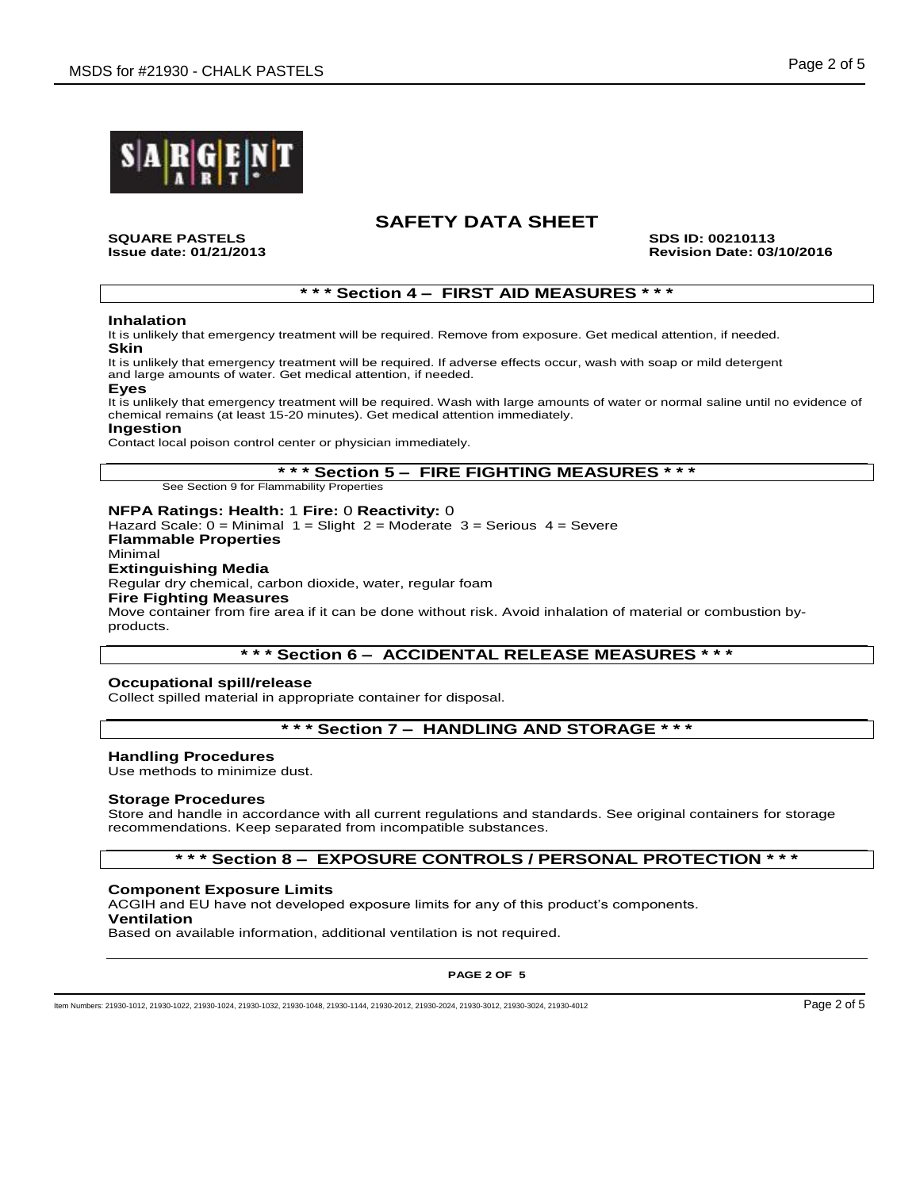

**SQUARE PASTELS SDS ID: 00210113 Issue date: 01/21/2013 Revision Date: 03/10/2016**

## **\* \* \* Section 4 – FIRST AID MEASURES \* \* \***

#### **Inhalation**

It is unlikely that emergency treatment will be required. Remove from exposure. Get medical attention, if needed. **Skin**

It is unlikely that emergency treatment will be required. If adverse effects occur, wash with soap or mild detergent and large amounts of water. Get medical attention, if needed.

# **Eyes**

It is unlikely that emergency treatment will be required. Wash with large amounts of water or normal saline until no evidence of chemical remains (at least 15-20 minutes). Get medical attention immediately.

#### **Ingestion**

Contact local poison control center or physician immediately.

**\* \* \* Section 5 – FIRE FIGHTING MEASURES \* \* \***

See Section 9 for Flammability Properties

#### **NFPA Ratings: Health:** 1 **Fire:** 0 **Reactivity:** 0

Hazard Scale:  $0 =$  Minimal  $1 =$  Slight  $2 =$  Moderate  $3 =$  Serious  $4 =$  Severe **Flammable Properties** Minimal

### **Extinguishing Media**

Regular dry chemical, carbon dioxide, water, regular foam

#### **Fire Fighting Measures**

Move container from fire area if it can be done without risk. Avoid inhalation of material or combustion byproducts.

### **\* \* \* Section 6 – ACCIDENTAL RELEASE MEASURES \* \* \***

#### **Occupational spill/release**

Collect spilled material in appropriate container for disposal.

# **\* \* \* Section 7 – HANDLING AND STORAGE \* \* \***

#### **Handling Procedures**

Use methods to minimize dust.

#### **Storage Procedures**

Store and handle in accordance with all current regulations and standards. See original containers for storage recommendations. Keep separated from incompatible substances.

## **\* \* \* Section 8 – EXPOSURE CONTROLS / PERSONAL PROTECTION \* \* \***

#### **Component Exposure Limits**

ACGIH and EU have not developed exposure limits for any of this product's components. **Ventilation**

Based on available information, additional ventilation is not required.

#### **PAGE 2 OF 5**

Item Numbers: 21930-1012, 21930-1022, 21930-1024, 21930-1032, 21930-1048, 21930-1144, 21930-2012, 21930-2024, 21930-3012, 21930-3024, 21930-4012 Page 2 of 5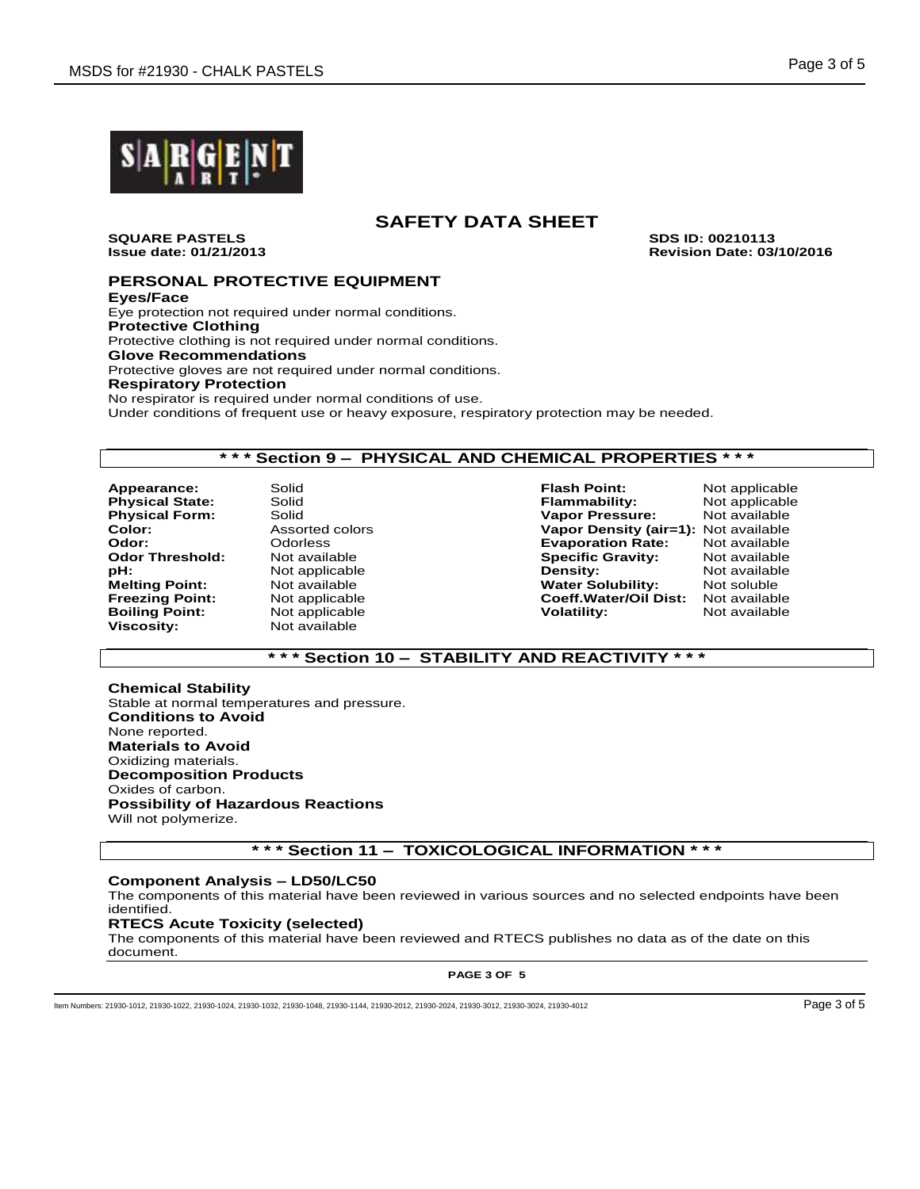

**SQUARE PASTELS SDS ID: 00210113**

**Issue date: 01/21/2013 Revision Date: 03/10/2016**

## **PERSONAL PROTECTIVE EQUIPMENT**

**Eyes/Face** Eye protection not required under normal conditions. **Protective Clothing** Protective clothing is not required under normal conditions. **Glove Recommendations** Protective gloves are not required under normal conditions. **Respiratory Protection** No respirator is required under normal conditions of use. Under conditions of frequent use or heavy exposure, respiratory protection may be needed.

## **\* \* \* Section 9 – PHYSICAL AND CHEMICAL PROPERTIES \* \* \***

**Appearance:** Solid **Flash Point:** Not applicable **Physical Form:** Solid<br> **Color:** Assorted colors **Boiling Point:** Not applicable **Volatility:** Not available **Viscosity:** Not available **Viscosity:** Not available

**Viscosity:** Not available

**Physical State:** Solid **Flammability:** Not applicable **Flammability:** Not applicable **Physical Form:** Solid **Flammability:** Not available **Color:** Assorted colors **Vapor Density (air=1):** Not available **Evaporation Rate: Odor Threshold:** Not available **Specific Gravity:** Not available **pH:** Not applicable **Density:** Not available **Melting Point:** Mot available **Not and American Construction Water Solubility:** Not soluble **Freezing Point:** Not applicable **Coeff. Water/Oil Dist:** Not available **Coeff.Water/Oil Dist:** 

## **\* \* \* Section 10 – STABILITY AND REACTIVITY \* \* \***

**Chemical Stability** Stable at normal temperatures and pressure. **Conditions to Avoid** None reported. **Materials to Avoid** Oxidizing materials. **Decomposition Products** Oxides of carbon. **Possibility of Hazardous Reactions** Will not polymerize.

## **\* \* \* Section 11 – TOXICOLOGICAL INFORMATION \* \* \***

### **Component Analysis – LD50/LC50**

The components of this material have been reviewed in various sources and no selected endpoints have been identified.

## **RTECS Acute Toxicity (selected)**

The components of this material have been reviewed and RTECS publishes no data as of the date on this document.

**PAGE 3 OF 5**

Item Numbers: 21930-1012, 21930-1022, 21930-1024, 21930-1032, 21930-1048, 21930-1144, 21930-2012, 21930-2024, 21930-3012, 21930-3024, 21930-4012 Page 3 of 5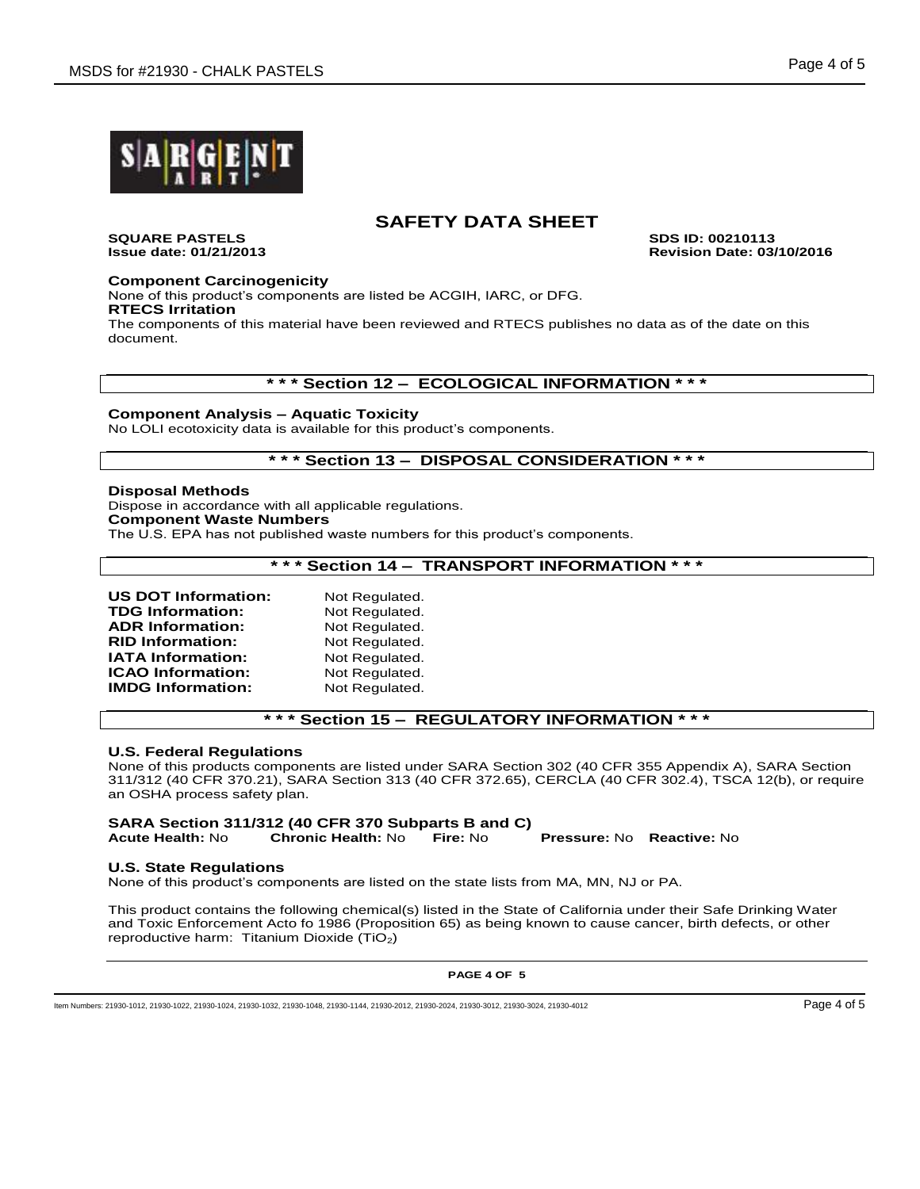

**SQUARE PASTELS SDS ID: 00210113**

**Issue date: 01/21/2013 Revision Date: 03/10/2016**

### **Component Carcinogenicity**

None of this product's components are listed be ACGIH, IARC, or DFG. **RTECS Irritation**

The components of this material have been reviewed and RTECS publishes no data as of the date on this document.

### **\* \* \* Section 12 – ECOLOGICAL INFORMATION \* \* \***

### **Component Analysis – Aquatic Toxicity**

No LOLI ecotoxicity data is available for this product's components.

## **\* \* \* Section 13 – DISPOSAL CONSIDERATION \* \* \***

### **Disposal Methods**

Dispose in accordance with all applicable regulations. **Component Waste Numbers**

The U.S. EPA has not published waste numbers for this product's components.

## **\* \* \* Section 14 – TRANSPORT INFORMATION \* \* \***

| <b>US DOT Information:</b> | Not Regulated. |
|----------------------------|----------------|
| <b>TDG Information:</b>    | Not Regulated. |
| <b>ADR Information:</b>    | Not Regulated. |
| <b>RID Information:</b>    | Not Regulated. |
| <b>IATA Information:</b>   | Not Regulated. |
| <b>ICAO</b> Information:   | Not Regulated. |
| <b>IMDG Information:</b>   | Not Regulated. |

## **\* \* \* Section 15 – REGULATORY INFORMATION \* \* \***

### **U.S. Federal Regulations**

None of this products components are listed under SARA Section 302 (40 CFR 355 Appendix A), SARA Section 311/312 (40 CFR 370.21), SARA Section 313 (40 CFR 372.65), CERCLA (40 CFR 302.4), TSCA 12(b), or require an OSHA process safety plan.

#### **SARA Section 311/312 (40 CFR 370 Subparts B and C) Acute Health:** No **Chronic Health:** No **Fire:** No **Pressure:** No **Reactive:** No

### **U.S. State Regulations**

None of this product's components are listed on the state lists from MA, MN, NJ or PA.

This product contains the following chemical(s) listed in the State of California under their Safe Drinking Water and Toxic Enforcement Acto fo 1986 (Proposition 65) as being known to cause cancer, birth defects, or other reproductive harm: Titanium Dioxide (TiO<sub>2</sub>)

**PAGE 4 OF 5**

Item Numbers: 21930-1012, 21930-1022, 21930-1024, 21930-1032, 21930-1048, 21930-1144, 21930-2012, 21930-2024, 21930-3012, 21930-3024, 21930-4012 Page 4 of 5